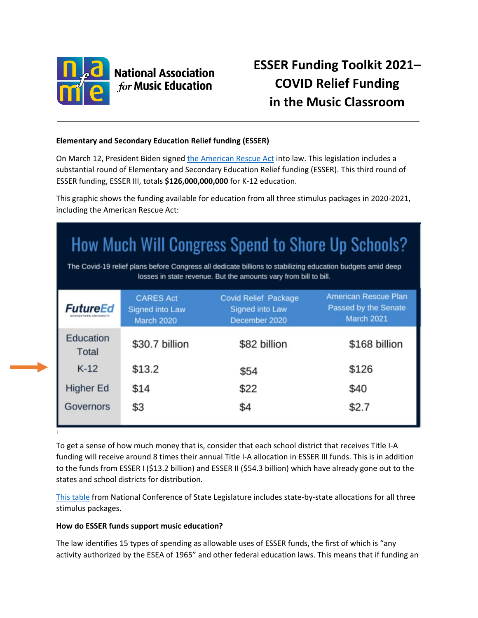

[i](#page-5-0)

# **National Association for Music Education**

# **ESSER Funding Toolkit 2021– COVID Relief Funding in the Music Classroom**

# **Elementary and Secondary Education Relief funding (ESSER)**

On March 12, President Biden signed [the American](https://nafme.org/education-relief-through-the-american-rescue-plan-act/) Rescue Act into law. This legislation includes a substantial round of Elementary and Secondary Education Relief funding (ESSER). This third round of ESSER funding, ESSER III, totals **\$126,000,000,000** for K-12 education.

This graphic shows the funding available for education from all three stimulus packages in 2020-2021, including the American Rescue Act:

# How Much Will Congress Spend to Shore Up Schools?

The Covid-19 relief plans before Congress all dedicate billions to stabilizing education budgets amid deep losses in state revenue. But the amounts vary from bill to bill.

| <b>FutureEd</b>           | <b>CARES Act</b><br><b>Signed into Law</b><br><b>March 2020</b> | <b>Covid Relief Package</b><br><b>Signed into Law</b><br>December 2020 | <b>American Rescue Plan</b><br>Passed by the Senate<br><b>March 2021</b> |
|---------------------------|-----------------------------------------------------------------|------------------------------------------------------------------------|--------------------------------------------------------------------------|
| Education<br><b>Total</b> | \$30.7 billion                                                  | \$82 billion                                                           | \$168 billion                                                            |
| $K-12$                    | \$13.2                                                          | \$54                                                                   | \$126                                                                    |
| <b>Higher Ed</b>          | \$14                                                            | \$22                                                                   | \$40                                                                     |
| Governors                 | \$3                                                             | \$4                                                                    | \$2.7                                                                    |

To get a sense of how much money that is, consider that each school district that receives Title I-A funding will receive around 8 times their annual Title I-A allocation in ESSER III funds. This is in addition to the funds from ESSER I (\$13.2 billion) and ESSER II (\$54.3 billion) which have already gone out to the states and school districts for distribution.

[This table](https://www.ncsl.org/ncsl-in-dc/standing-committees/education/cares-act-elementary-and-secondary-school-emergency-relief-fund-tracker.aspx#:%7E:text=In%202020%20and%202021%2C%20Congress,Education%20Relief%20(ESSER)%20Fund.&text=The%20American%20Rescue%20Plan%20Act,as%20the%20ESSER%20III%20fund.) from National Conference of State Legislature includes state-by-state allocations for all three stimulus packages.

# **How do ESSER funds support music education?**

The law identifies 15 types of spending as allowable uses of ESSER funds, the first of which is "any activity authorized by the ESEA of 1965" and other federal education laws. This means that if funding an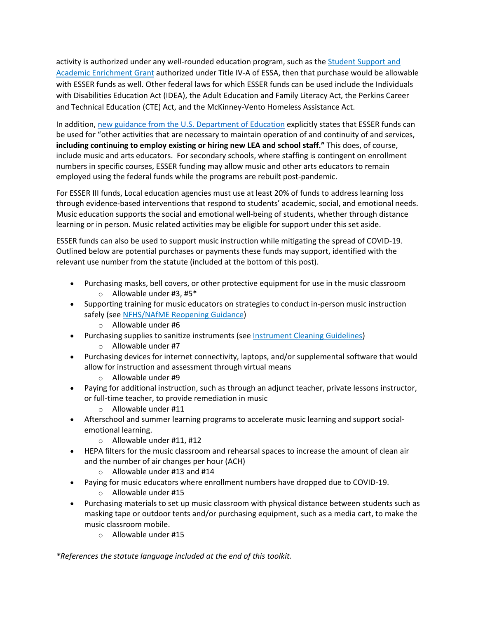activity is authorized under any well-rounded education program, such as the [Student Support and](https://nafme.org/wp-content/uploads/2021/01/Title-IV-A-Toolkit-FAQ-2020-120220.pdf)  [Academic Enrichment Grant](https://nafme.org/wp-content/uploads/2021/01/Title-IV-A-Toolkit-FAQ-2020-120220.pdf) authorized under Title IV-A of ESSA, then that purchase would be allowable with ESSER funds as well. Other federal laws for which ESSER funds can be used include the Individuals with Disabilities Education Act (IDEA), the Adult Education and Family Literacy Act, the Perkins Career and Technical Education (CTE) Act, and the McKinney-Vento Homeless Assistance Act.

In addition, [new guidance from the U.S. Department of Education](https://oese.ed.gov/files/2021/03/FINAL_ARP-ESSER-FACT-SHEET.pdf) explicitly states that ESSER funds can be used for "other activities that are necessary to maintain operation of and continuity of and services, **including continuing to employ existing or hiring new LEA and school staff."** This does, of course, include music and arts educators. For secondary schools, where staffing is contingent on enrollment numbers in specific courses, ESSER funding may allow music and other arts educators to remain employed using the federal funds while the programs are rebuilt post-pandemic.

For ESSER III funds, Local education agencies must use at least 20% of funds to address learning loss through evidence-based interventions that respond to students' academic, social, and emotional needs. Music education supports the social and emotional well-being of students, whether through distance learning or in person. Music related activities may be eligible for support under this set aside.

ESSER funds can also be used to support music instruction while mitigating the spread of COVID-19. Outlined below are potential purchases or payments these funds may support, identified with the relevant use number from the statute (included at the bottom of this post).

- Purchasing masks, bell covers, or other protective equipment for use in the music classroom  $\circ$  Allowable under #3, #5\*
- Supporting training for music educators on strategies to conduct in-person music instruction safely (see [NFHS/NAfME Reopening Guidance\)](https://nafme.org/wp-content/uploads/2020/10/NAfME_NFHS-Guidance-for-Fall-2020-August-21-Version-4.pdf)
	- o Allowable under #6
- Purchasing supplies to sanitize instruments (see [Instrument Cleaning Guidelines\)](https://nafme.org/covid-19-instrument-cleaning-guidelines/)
	- o Allowable under #7
- Purchasing devices for internet connectivity, laptops, and/or supplemental software that would allow for instruction and assessment through virtual means
	- o Allowable under #9
- Paying for additional instruction, such as through an adjunct teacher, private lessons instructor, or full-time teacher, to provide remediation in music
	- o Allowable under #11
- Afterschool and summer learning programs to accelerate music learning and support socialemotional learning.
	- $\circ$  Allowable under #11, #12
- HEPA filters for the music classroom and rehearsal spaces to increase the amount of clean air and the number of air changes per hour (ACH)
	- o Allowable under #13 and #14
- Paying for music educators where enrollment numbers have dropped due to COVID-19.
	- o Allowable under #15
- Purchasing materials to set up music classroom with physical distance between students such as masking tape or outdoor tents and/or purchasing equipment, such as a media cart, to make the music classroom mobile.
	- o Allowable under #15

*\*References the statute language included at the end of this toolkit.*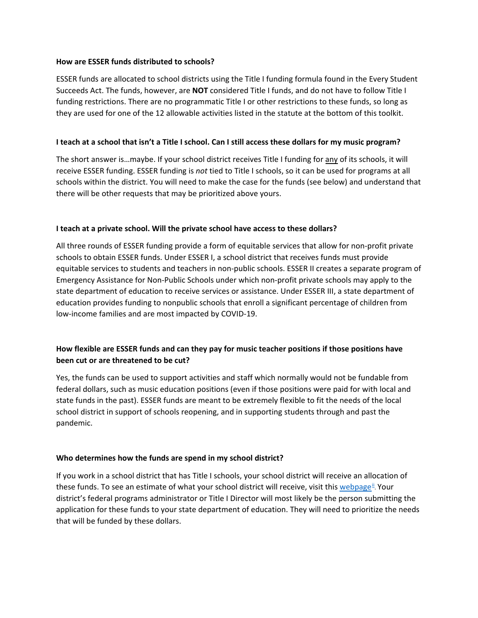#### **How are ESSER funds distributed to schools?**

ESSER funds are allocated to school districts using the Title I funding formula found in the Every Student Succeeds Act. The funds, however, are **NOT** considered Title I funds, and do not have to follow Title I funding restrictions. There are no programmatic Title I or other restrictions to these funds, so long as they are used for one of the 12 allowable activities listed in the statute at the bottom of this toolkit.

# **I teach at a school that isn't a Title I school. Can I still access these dollars for my music program?**

The short answer is…maybe. If your school district receives Title I funding for any of its schools, it will receive ESSER funding. ESSER funding is *not* tied to Title I schools, so it can be used for programs at all schools within the district. You will need to make the case for the funds (see below) and understand that there will be other requests that may be prioritized above yours.

# **I teach at a private school. Will the private school have access to these dollars?**

All three rounds of ESSER funding provide a form of equitable services that allow for non-profit private schools to obtain ESSER funds. Under ESSER I, a school district that receives funds must provide equitable services to students and teachers in non-public schools. ESSER II creates a separate program of Emergency Assistance for Non-Public Schools under which non-profit private schools may apply to the state department of education to receive services or assistance. Under ESSER III, a state department of education provides funding to nonpublic schools that enroll a significant percentage of children from low-income families and are most impacted by COVID-19.

# **How flexible are ESSER funds and can they pay for music teacher positions if those positions have been cut or are threatened to be cut?**

Yes, the funds can be used to support activities and staff which normally would not be fundable from federal dollars, such as music education positions (even if those positions were paid for with local and state funds in the past). ESSER funds are meant to be extremely flexible to fit the needs of the local school district in support of schools reopening, and in supporting students through and past the pandemic.

# **Who determines how the funds are spend in my school district?**

If you work in a school district that has Title I schools, your school district will receive an allocation of these funds. To see an est[i](#page-5-1)mate of what your school district will receive, visit this webpage<sup>ii</sup>. Your district's federal programs administrator or Title I Director will most likely be the person submitting the application for these funds to your state department of education. They will need to prioritize the needs that will be funded by these dollars.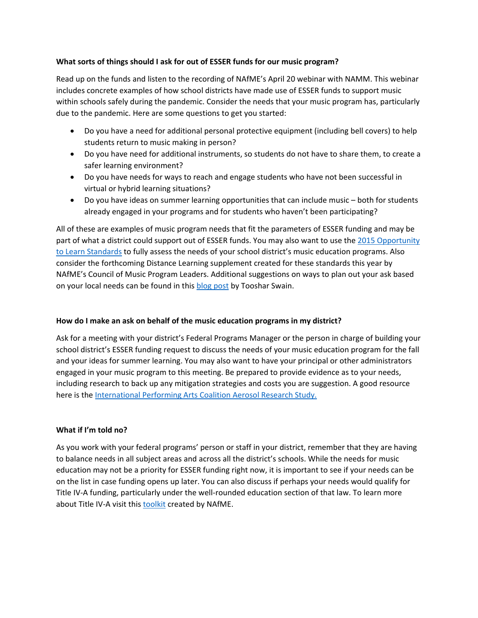# **What sorts of things should I ask for out of ESSER funds for our music program?**

Read up on the funds and listen to the recording of NAfME's April 20 webinar with NAMM. This webinar includes concrete examples of how school districts have made use of ESSER funds to support music within schools safely during the pandemic. Consider the needs that your music program has, particularly due to the pandemic. Here are some questions to get you started:

- Do you have a need for additional personal protective equipment (including bell covers) to help students return to music making in person?
- Do you have need for additional instruments, so students do not have to share them, to create a safer learning environment?
- Do you have needs for ways to reach and engage students who have not been successful in virtual or hybrid learning situations?
- Do you have ideas on summer learning opportunities that can include music both for students already engaged in your programs and for students who haven't been participating?

All of these are examples of music program needs that fit the parameters of ESSER funding and may be part of what a district could support out of ESSER funds. You may also want to use the 2015 Opportunity [to Learn Standards](https://nafme.org/my-classroom/standards/opportunity-to-learn-standards/) to fully assess the needs of your school district's music education programs. Also consider the forthcoming Distance Learning supplement created for these standards this year by NAfME's Council of Music Program Leaders. Additional suggestions on ways to plan out your ask based on your local needs can be found in this [blog post](https://nafme.org/education-relief-through-the-american-rescue-plan-act/) by Tooshar Swain.

# **How do I make an ask on behalf of the music education programs in my district?**

Ask for a meeting with your district's Federal Programs Manager or the person in charge of building your school district's ESSER funding request to discuss the needs of your music education program for the fall and your ideas for summer learning. You may also want to have your principal or other administrators engaged in your music program to this meeting. Be prepared to provide evidence as to your needs, including research to back up any mitigation strategies and costs you are suggestion. A good resource here is the [International Performing Arts Coalition Aerosol Research Study.](https://www.nfhs.org/articles/unprecedented-international-coalition-led-by-performing-arts-organizations-to-commission-covid-19-study/)

# **What if I'm told no?**

As you work with your federal programs' person or staff in your district, remember that they are having to balance needs in all subject areas and across all the district's schools. While the needs for music education may not be a priority for ESSER funding right now, it is important to see if your needs can be on the list in case funding opens up later. You can also discuss if perhaps your needs would qualify for Title IV-A funding, particularly under the well-rounded education section of that law. To learn more about Title IV-A visit this [toolkit](https://nafme.org/wp-content/uploads/2021/01/Title-IV-A-Toolkit-FAQ-2020-120220.pdf) created by NAfME.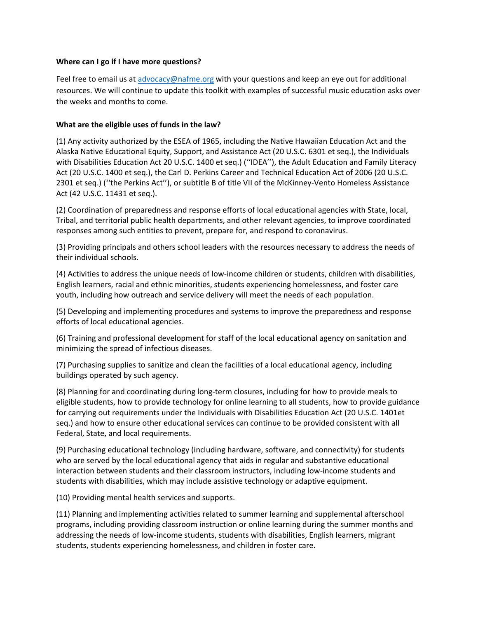#### **Where can I go if I have more questions?**

Feel free to email us a[t advocacy@nafme.org](mailto:advocacy@nafme.org) with your questions and keep an eye out for additional resources. We will continue to update this toolkit with examples of successful music education asks over the weeks and months to come.

# **What are the eligible uses of funds in the law?**

(1) Any activity authorized by the ESEA of 1965, including the Native Hawaiian Education Act and the Alaska Native Educational Equity, Support, and Assistance Act (20 U.S.C. 6301 et seq.), the Individuals with Disabilities Education Act 20 U.S.C. 1400 et seq.) (''IDEA''), the Adult Education and Family Literacy Act (20 U.S.C. 1400 et seq.), the Carl D. Perkins Career and Technical Education Act of 2006 (20 U.S.C. 2301 et seq.) (''the Perkins Act''), or subtitle B of title VII of the McKinney-Vento Homeless Assistance Act (42 U.S.C. 11431 et seq.).

(2) Coordination of preparedness and response efforts of local educational agencies with State, local, Tribal, and territorial public health departments, and other relevant agencies, to improve coordinated responses among such entities to prevent, prepare for, and respond to coronavirus.

(3) Providing principals and others school leaders with the resources necessary to address the needs of their individual schools.

(4) Activities to address the unique needs of low-income children or students, children with disabilities, English learners, racial and ethnic minorities, students experiencing homelessness, and foster care youth, including how outreach and service delivery will meet the needs of each population.

(5) Developing and implementing procedures and systems to improve the preparedness and response efforts of local educational agencies.

(6) Training and professional development for staff of the local educational agency on sanitation and minimizing the spread of infectious diseases.

(7) Purchasing supplies to sanitize and clean the facilities of a local educational agency, including buildings operated by such agency.

(8) Planning for and coordinating during long-term closures, including for how to provide meals to eligible students, how to provide technology for online learning to all students, how to provide guidance for carrying out requirements under the Individuals with Disabilities Education Act (20 U.S.C. 1401et seq.) and how to ensure other educational services can continue to be provided consistent with all Federal, State, and local requirements.

(9) Purchasing educational technology (including hardware, software, and connectivity) for students who are served by the local educational agency that aids in regular and substantive educational interaction between students and their classroom instructors, including low-income students and students with disabilities, which may include assistive technology or adaptive equipment.

(10) Providing mental health services and supports.

(11) Planning and implementing activities related to summer learning and supplemental afterschool programs, including providing classroom instruction or online learning during the summer months and addressing the needs of low-income students, students with disabilities, English learners, migrant students, students experiencing homelessness, and children in foster care.